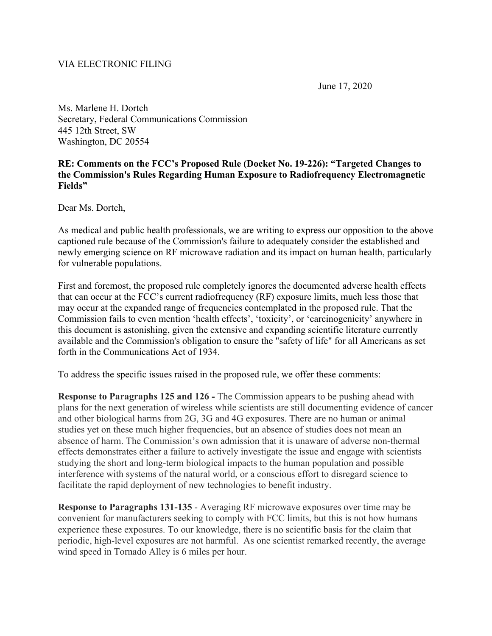## VIA ELECTRONIC FILING

June 17, 2020

Ms. Marlene H. Dortch Secretary, Federal Communications Commission 445 12th Street, SW Washington, DC 20554

## **RE: Comments on the FCC's Proposed Rule (Docket No. 19-226): "Targeted Changes to the Commission's Rules Regarding Human Exposure to Radiofrequency Electromagnetic Fields"**

Dear Ms. Dortch,

As medical and public health professionals, we are writing to express our opposition to the above captioned rule because of the Commission's failure to adequately consider the established and newly emerging science on RF microwave radiation and its impact on human health, particularly for vulnerable populations.

First and foremost, the proposed rule completely ignores the documented adverse health effects that can occur at the FCC's current radiofrequency (RF) exposure limits, much less those that may occur at the expanded range of frequencies contemplated in the proposed rule. That the Commission fails to even mention 'health effects', 'toxicity', or 'carcinogenicity' anywhere in this document is astonishing, given the extensive and expanding scientific literature currently available and the Commission's obligation to ensure the "safety of life" for all Americans as set forth in the Communications Act of 1934.

To address the specific issues raised in the proposed rule, we offer these comments:

**Response to Paragraphs 125 and 126 -** The Commission appears to be pushing ahead with plans for the next generation of wireless while scientists are still documenting evidence of cancer and other biological harms from 2G, 3G and 4G exposures. There are no human or animal studies yet on these much higher frequencies, but an absence of studies does not mean an absence of harm. The Commission's own admission that it is unaware of adverse non-thermal effects demonstrates either a failure to actively investigate the issue and engage with scientists studying the short and long-term biological impacts to the human population and possible interference with systems of the natural world, or a conscious effort to disregard science to facilitate the rapid deployment of new technologies to benefit industry.

**Response to Paragraphs 131-135** - Averaging RF microwave exposures over time may be convenient for manufacturers seeking to comply with FCC limits, but this is not how humans experience these exposures. To our knowledge, there is no scientific basis for the claim that periodic, high-level exposures are not harmful. As one scientist remarked recently, the average wind speed in Tornado Alley is 6 miles per hour.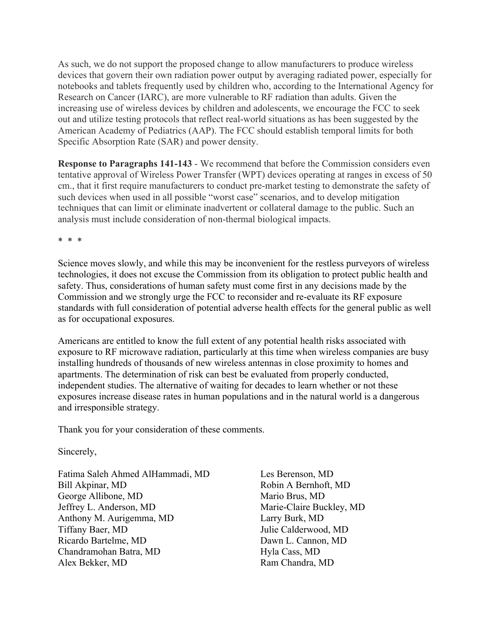As such, we do not support the proposed change to allow manufacturers to produce wireless devices that govern their own radiation power output by averaging radiated power, especially for notebooks and tablets frequently used by children who, according to the International Agency for Research on Cancer (IARC), are more vulnerable to RF radiation than adults. Given the increasing use of wireless devices by children and adolescents, we encourage the FCC to seek out and utilize testing protocols that reflect real-world situations as has been suggested by the American Academy of Pediatrics (AAP). The FCC should establish temporal limits for both Specific Absorption Rate (SAR) and power density.

**Response to Paragraphs 141-143** - We recommend that before the Commission considers even tentative approval of Wireless Power Transfer (WPT) devices operating at ranges in excess of 50 cm., that it first require manufacturers to conduct pre-market testing to demonstrate the safety of such devices when used in all possible "worst case" scenarios, and to develop mitigation techniques that can limit or eliminate inadvertent or collateral damage to the public. Such an analysis must include consideration of non-thermal biological impacts.

\* \* \*

Science moves slowly, and while this may be inconvenient for the restless purveyors of wireless technologies, it does not excuse the Commission from its obligation to protect public health and safety. Thus, considerations of human safety must come first in any decisions made by the Commission and we strongly urge the FCC to reconsider and re-evaluate its RF exposure standards with full consideration of potential adverse health effects for the general public as well as for occupational exposures.

Americans are entitled to know the full extent of any potential health risks associated with exposure to RF microwave radiation, particularly at this time when wireless companies are busy installing hundreds of thousands of new wireless antennas in close proximity to homes and apartments. The determination of risk can best be evaluated from properly conducted, independent studies. The alternative of waiting for decades to learn whether or not these exposures increase disease rates in human populations and in the natural world is a dangerous and irresponsible strategy.

Thank you for your consideration of these comments.

Sincerely,

Fatima Saleh Ahmed AlHammadi, MD Bill Akpinar, MD George Allibone, MD Jeffrey L. Anderson, MD Anthony M. Aurigemma, MD Tiffany Baer, MD Ricardo Bartelme, MD Chandramohan Batra, MD Alex Bekker, MD

Les Berenson, MD Robin A Bernhoft, MD Mario Brus, MD Marie-Claire Buckley, MD Larry Burk, MD Julie Calderwood, MD Dawn L. Cannon, MD Hyla Cass, MD Ram Chandra, MD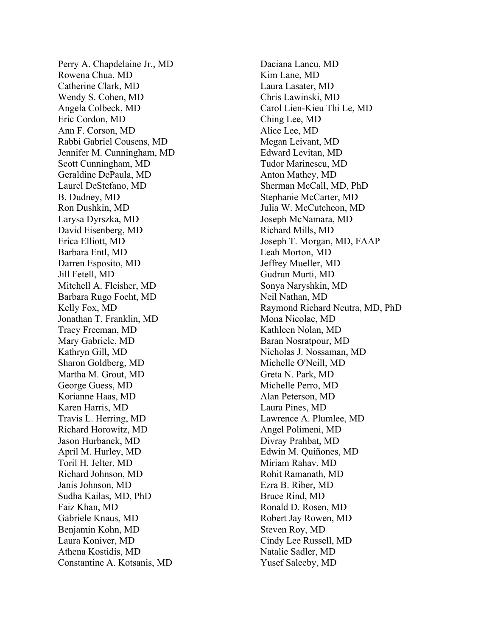Perry A . Chapdelaine Jr., MD Rowena Chua, MD Catherine Clark, MD Wendy S . Cohen, MD Angela Colbeck, MD Eric Cordon, MD Ann F . Corson, MD Rabbi Gabriel Cousens, MD Jennifer M . Cunningham, MD Scott Cunningham, MD Geraldine DePaula, MD Laurel DeStefano, MD B. Dudney, MD Ron Dushkin, MD Larysa Dyrszka, MD David Eisenberg, MD Erica Elliott, MD Barbara Entl, MD Darren Esposito, MD Jill Fetell, MD Mitchell A . Fleisher, MD Barbara Rugo Focht, MD Kelly Fox, MD Jonathan T . Franklin, MD Tracy Freeman, MD Mary Gabriele, MD Kathryn Gill, MD Sharon Goldberg, MD Martha M . Grout, MD George Guess, MD Korianne Haas, MD Karen Harris, MD Travis L . Herring, MD Richard Horowitz, MD Jason Hurbanek, MD April M . Hurley, MD Toril H . Jelter, MD Richard Johnson, MD Janis Johnson, MD Sudha Kailas, MD, PhD Faiz Khan, MD Gabriele Knaus, MD Benjamin Kohn, MD Laura Koniver, MD Athena Kostidis, MD Constantine A . Kotsanis, MD

Daciana Lancu, MD Kim Lane, MD Laura Lasater, MD Chris Lawinski, MD Carol Lien -Kieu Thi Le, MD Ching Lee, MD Alice Lee, MD Megan Leivant, MD Edward Levitan, MD Tudor Marinescu, MD Anton Mathey, MD Sherman McCall, MD, PhD Stephanie McCarter, MD Julia W . McCutcheon, MD Joseph McNamara, MD Richard Mills, MD Joseph T . Morgan, MD, FAAP Leah Morton, MD Jeffrey Mueller, MD Gudrun Murti, MD Sonya Naryshkin, MD Neil Nathan, MD Raymond Richard Neutra, MD, PhD Mona Nicolae, MD Kathleen Nolan, MD Baran Nosratpour, MD Nicholas J . Nossaman, MD Michelle O'Neill, MD Greta N . Park, MD Michelle Perro, MD Alan Peterson, MD Laura Pines, MD Lawrence A . Plumlee, MD Angel Polimeni, MD Divray Prahbat, MD Edwin M . Quiñones, MD Miriam Rahav, MD Rohit Ramanath, MD Ezra B . Riber, MD Bruce Rind, MD Ronald D . Rosen, MD Robert Jay Rowen, MD Steven Roy, MD Cindy Lee Russell, MD Natalie Sadler, MD Yusef Saleeby, MD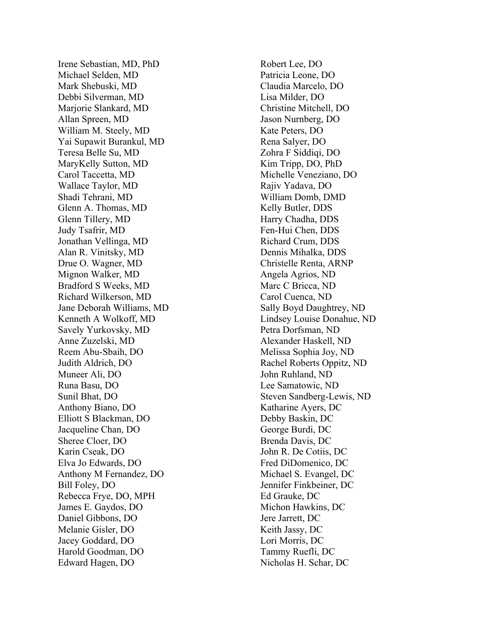Irene Sebastian, MD, PhD Michael Selden, MD Mark Shebuski, MD Debbi Silverman, MD Marjorie Slankard, MD Allan Spreen, MD William M . Steely, MD Yai Supawit Burankul, MD Teresa Belle Su, MD MaryKelly Sutton, M D Carol Taccetta, MD Wallace Taylor, MD Shadi Tehrani, MD Glenn A . Thomas, MD Glenn Tillery, MD Judy Tsafrir, M D Jonathan Vellinga, MD Alan R . Vinitsky, MD Drue O . Wagner, MD Mignon Walker, MD Bradford S Weeks, MD Richard Wilkerson, MD Jane Deborah Williams, MD Kenneth A Wolkoff, MD Savely Yurkovsky, MD Anne Zuzelski, MD Reem Abu -Sbaih, DO Judith Aldrich, DO Muneer Ali, DO Runa Basu, DO Sunil Bhat, DO Anthony Biano, DO Elliott S Blackman, DO Jacqueline Chan, DO Sheree Cloer, DO Karin Cseak, DO Elva Jo Edwards, DO Anthony M Fernandez, DO Bill Foley, DO Rebecca Frye, DO, MPH James E . Gaydos, DO Daniel Gibbons, DO Melanie Gisler, DO Jacey Goddard, DO Harold Goodman, DO Edward Hagen, DO

Robert Lee, DO Patricia Leone, DO Claudia Marcelo, DO Lisa Milder, DO Christine Mitchell, DO Jason Nurnberg, DO Kate Peters, DO Rena Salyer, DO Zohra F Siddiqi, DO Kim Tripp, DO, PhD Michelle Veneziano, DO Rajiv Yadava, DO William Domb, DMD Kelly Butler, DDS Harry Chadha, DDS Fen -Hui Chen, DDS Richard Crum, DDS Dennis Mihalka, DDS Christelle Renta, ARNP Angela Agrios, ND Marc C Bricca, ND Carol Cuenca, ND Sally Boyd Daughtrey, ND Lindsey Louise Donahue, ND Petra Dorfsman, ND Alexander Haskell, ND Melissa Sophia Joy, ND Rachel Roberts Oppitz, ND John Ruhland, ND Lee Samatowic, ND Steven Sandberg -Lewis, ND Katharine Ayers, DC Debby Baskin, DC George Burdi, DC Brenda Davis, DC John R. De Cotiis, DC Fred DiDomenico, DC Michael S. Evangel, DC Jennifer Finkbeiner, DC Ed Grauke, DC Michon Hawkins, DC Jere Jarrett, DC Keith Jassy, DC Lori Morris, DC Tammy Ruefli, DC Nicholas H. Schar, DC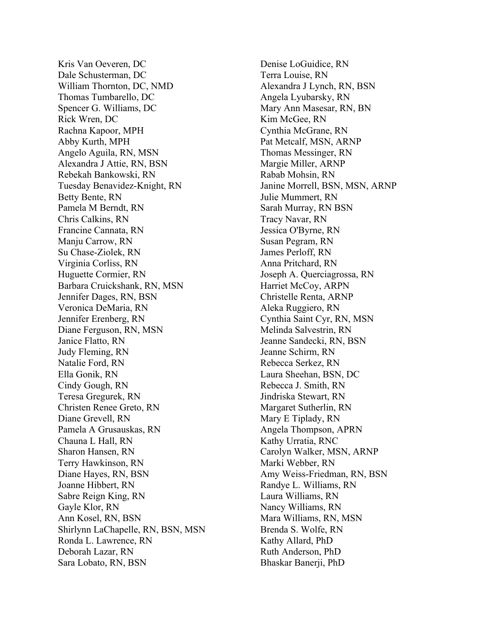Kris Van Oeveren, DC Dale Schusterman, DC William Thornton, DC, NMD Thomas Tumbarello, DC Spencer G. Williams, DC Rick Wren, DC Rachna Kapoor, MPH Abby Kurth, MPH Angelo Aguila, RN, MSN Alexandra J Attie, RN, BSN Rebekah Bankowski, RN Tuesday Benavidez-Knight, RN Betty Bente, RN Pamela M Berndt, RN Chris Calkins, RN Francine Cannata, RN Manju Carrow, RN Su Chase-Ziolek, RN Virginia Corliss, RN Huguette Cormier, RN Barbara Cruickshank, RN, MSN Jennifer Dages, RN, BSN Veronica DeMaria, RN Jennifer Erenberg, RN Diane Ferguson, RN, MSN Janice Flatto, RN Judy Fleming, RN Natalie Ford, RN Ella Gonik, RN Cindy Gough, RN Teresa Gregurek, RN Christen Renee Greto, RN Diane Grevell, RN Pamela A Grusauskas, RN Chauna L Hall, RN Sharon Hansen, RN Terry Hawkinson, RN Diane Hayes, RN, BSN Joanne Hibbert, RN Sabre Reign King, RN Gayle Klor, RN Ann Kosel, RN, BSN Shirlynn LaChapelle, RN, BSN, MSN Ronda L. Lawrence, RN Deborah Lazar, RN Sara Lobato, RN, BSN

Denise LoGuidice, RN Terra Louise, RN Alexandra J Lynch, RN, BSN Angela Lyubarsky, RN Mary Ann Masesar, RN, BN Kim McGee, RN Cynthia McGrane, RN Pat Metcalf, MSN, ARNP Thomas Messinger, RN Margie Miller, ARNP Rabab Mohsin, RN Janine Morrell, BSN, MSN, ARNP Julie Mummert, RN Sarah Murray, RN BSN Tracy Navar, RN Jessica O'Byrne, RN Susan Pegram, RN James Perloff, RN Anna Pritchard, RN Joseph A. Querciagrossa, RN Harriet McCoy, ARPN Christelle Renta, ARNP Aleka Ruggiero, RN Cynthia Saint Cyr, RN, MSN Melinda Salvestrin, RN Jeanne Sandecki, RN, BSN Jeanne Schirm, RN Rebecca Serkez, RN Laura Sheehan, BSN, DC Rebecca J. Smith, RN Jindriska Stewart, RN Margaret Sutherlin, RN Mary E Tiplady, RN Angela Thompson, APRN Kathy Urratia, RNC Carolyn Walker, MSN, ARNP Marki Webber, RN Amy Weiss-Friedman, RN, BSN Randye L. Williams, RN Laura Williams, RN Nancy Williams, RN Mara Williams, RN, MSN Brenda S. Wolfe, RN Kathy Allard, PhD Ruth Anderson, PhD Bhaskar Banerji, PhD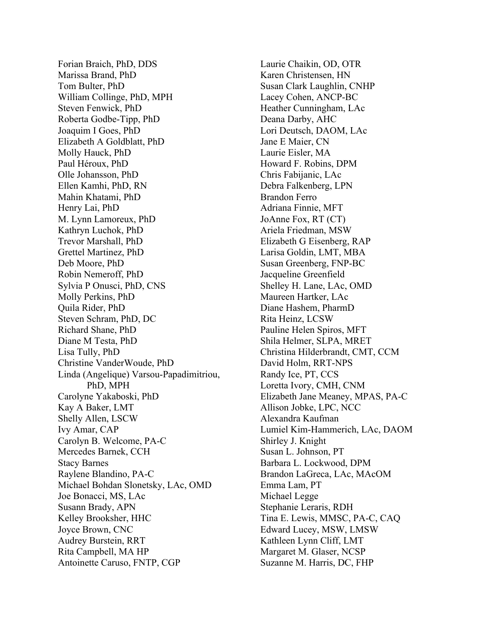Forian Braich, PhD, DDS Marissa Brand, PhD Tom Bulter, PhD William Collinge, PhD, MPH Steven Fenwick, PhD Roberta Godbe-Tipp, PhD Joaquim I Goes, PhD Elizabeth A Goldblatt, PhD Molly Hauck, PhD Paul Héroux, PhD Olle Johansson, PhD Ellen Kamhi, PhD, RN Mahin Khatami, PhD Henry Lai, PhD M. Lynn Lamoreux, PhD Kathryn Luchok, PhD Trevor Marshall, PhD Grettel Martinez, PhD Deb Moore, PhD Robin Nemeroff, PhD Sylvia P Onusci, PhD, CNS Molly Perkins, PhD Quila Rider, PhD Steven Schram, PhD, DC Richard Shane, PhD Diane M Testa, PhD Lisa Tully, PhD Christine VanderWoude, PhD Linda (Angelique) Varsou-Papadimitriou, PhD, MPH Carolyne Yakaboski, PhD Kay A Baker, LMT Shelly Allen, LSCW Ivy Amar, CAP Carolyn B. Welcome, PA-C Mercedes Barnek, CCH Stacy Barnes Raylene Blandino, PA-C Michael Bohdan Slonetsky, LAc, OMD Joe Bonacci, MS, LAc Susann Brady, APN Kelley Brooksher, HHC Joyce Brown, CNC Audrey Burstein, RRT Rita Campbell, MA HP Antoinette Caruso, FNTP, CGP

Laurie Chaikin, OD, OTR Karen Christensen, HN Susan Clark Laughlin, CNHP Lacey Cohen, ANCP-BC Heather Cunningham, LAc Deana Darby, AHC Lori Deutsch, DAOM, LAc Jane E Maier, CN Laurie Eisler, MA Howard F. Robins, DPM Chris Fabijanic, LAc Debra Falkenberg, LPN Brandon Ferro Adriana Finnie, MFT JoAnne Fox, RT (CT) Ariela Friedman, MSW Elizabeth G Eisenberg, RAP Larisa Goldin, LMT, MBA Susan Greenberg, FNP-BC Jacqueline Greenfield Shelley H. Lane, LAc, OMD Maureen Hartker, LAc Diane Hashem, PharmD Rita Heinz, LCSW Pauline Helen Spiros, MFT Shila Helmer, SLPA, MRET Christina Hilderbrandt, CMT, CCM David Holm, RRT-NPS Randy Ice, PT, CCS Loretta Ivory, CMH, CNM Elizabeth Jane Meaney, MPAS, PA-C Allison Jobke, LPC, NCC Alexandra Kaufman Lumiel Kim-Hammerich, LAc, DAOM Shirley J. Knight Susan L. Johnson, PT Barbara L. Lockwood, DPM Brandon LaGreca, LAc, MAcOM Emma Lam, PT Michael Legge Stephanie Leraris, RDH Tina E. Lewis, MMSC, PA-C, CAQ Edward Lucey, MSW, LMSW Kathleen Lynn Cliff, LMT Margaret M. Glaser, NCSP Suzanne M. Harris, DC, FHP